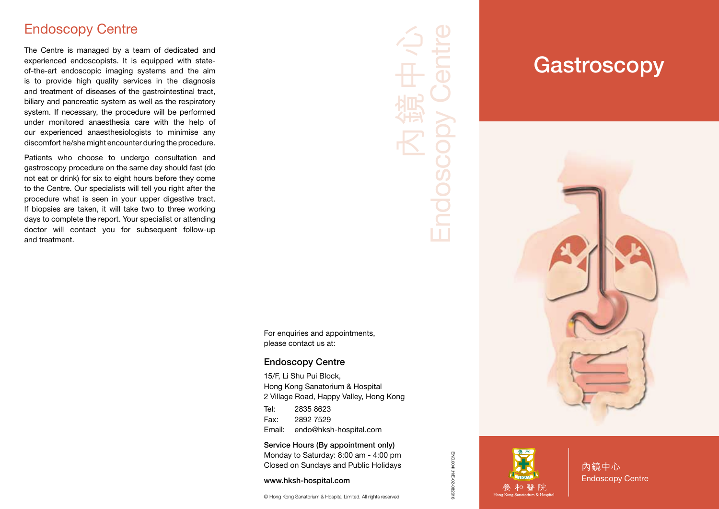#### Endoscopy Centre

The Centre is managed by a team of dedicated and experienced endoscopists. It is equipped with stateof-the-art endoscopic imaging systems and the aim is to provide high quality services in the diagnosis and treatment of diseases of the gastrointestinal tract, biliary and pancreatic system as well as the respiratory system. If necessary, the procedure will be performed under monitored anaesthesia care with the help of our experienced anaesthesiologists to minimise any discomfort he/she might encounter during the procedure.

Patients who choose to undergo consultation and gastroscopy procedure on the same day should fast (do not eat or drink) for six to eight hours before they come to the Centre. Our specialists will tell you right after the procedure what is seen in your upper digestive tract. If biopsies are taken, it will take two to three working days to complete the report. Your specialist or attending doctor will contact you for subsequent follow-up and treatment.

內鏡中心 Endoscopy Centre

For enquiries and appointments, please contact us at:

#### Endoscopy Centre

15/F, Li Shu Pui Block, Hong Kong Sanatorium & Hospital 2 Village Road, Happy Valley, Hong Kong Tel: 2835 8623

Fax: 2892 7529 Email: endo@hksh-hospital.com

Service Hours (By appointment only) Monday to Saturday: 8:00 am - 4:00 pm Closed on Sundays and Public Holidays

www.hksh-hospital.com

© Hong Kong Sanatorium & Hospital Limited. All rights reserved.

# **Gastroscopy**





END.004I.H/E-02-082016

END.004I.H/E-02-082016

內鏡中心 Endoscopy Centre